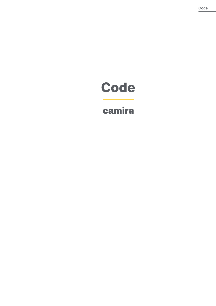# **Code**

## camira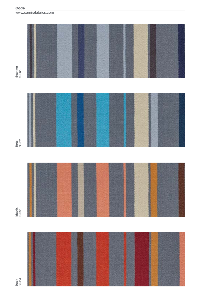

Dash<br>SJJ04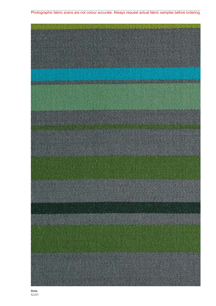### Photographic fabric scans are not colour accurate. Always request actual fabric samples before ordering.